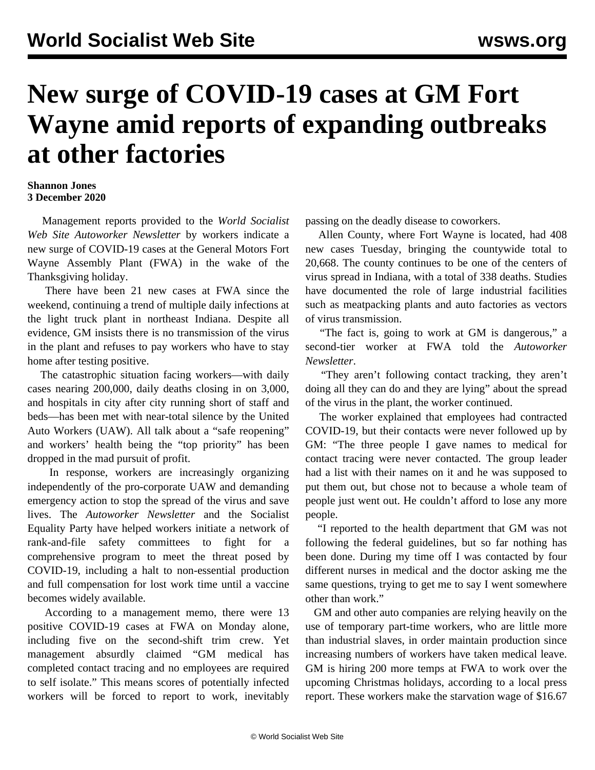## **New surge of COVID-19 cases at GM Fort Wayne amid reports of expanding outbreaks at other factories**

## **Shannon Jones 3 December 2020**

 Management reports provided to the *World Socialist Web Site Autoworker Newsletter* by workers indicate a new surge of COVID-19 cases at the General Motors Fort Wayne Assembly Plant (FWA) in the wake of the Thanksgiving holiday.

 There have been 21 new cases at FWA since the weekend, continuing a trend of multiple daily infections at the light truck plant in northeast Indiana. Despite all evidence, GM insists there is no transmission of the virus in the plant and refuses to pay workers who have to stay home after testing positive.

 The catastrophic situation facing workers—with daily cases nearing 200,000, daily deaths closing in on 3,000, and hospitals in city after city running short of staff and beds—has been met with near-total silence by the United Auto Workers (UAW). All talk about a "safe reopening" and workers' health being the "top priority" has been dropped in the mad pursuit of profit.

 In response, workers are increasingly organizing independently of the pro-corporate UAW and demanding emergency action to stop the spread of the virus and save lives. The *Autoworker Newsletter* and the Socialist Equality Party have helped workers initiate a [network of](/en/articles/2020/08/10/auto-a10.html) [rank-and-file safety committees](/en/articles/2020/08/10/auto-a10.html) to fight for a comprehensive program to meet the threat posed by COVID-19, including a halt to non-essential production and full compensation for lost work time until a vaccine becomes widely available.

 According to a management memo, there were 13 positive COVID-19 cases at FWA on Monday alone, including five on the second-shift trim crew. Yet management absurdly claimed "GM medical has completed contact tracing and no employees are required to self isolate." This means scores of potentially infected workers will be forced to report to work, inevitably passing on the deadly disease to coworkers.

 Allen County, where Fort Wayne is located, had 408 new cases Tuesday, bringing the countywide total to 20,668. The county continues to be one of the centers of virus spread in Indiana, with a total of 338 deaths. Studies have documented the role of large industrial facilities such as meatpacking plants and auto factories as vectors of virus transmission.

 "The fact is, going to work at GM is dangerous," a second-tier worker at FWA told the *Autoworker Newsletter*.

 "They aren't following contact tracking, they aren't doing all they can do and they are lying" about the spread of the virus in the plant, the worker continued.

 The worker explained that employees had contracted COVID-19, but their contacts were never followed up by GM: "The three people I gave names to medical for contact tracing were never contacted. The group leader had a list with their names on it and he was supposed to put them out, but chose not to because a whole team of people just went out. He couldn't afford to lose any more people.

 "I reported to the health department that GM was not following the federal guidelines, but so far nothing has been done. During my time off I was contacted by four different nurses in medical and the doctor asking me the same questions, trying to get me to say I went somewhere other than work."

 GM and other auto companies are relying heavily on the use of temporary part-time workers, who are little more than industrial slaves, in order maintain production since increasing numbers of workers have taken medical leave. GM is hiring 200 more temps at FWA to work over the upcoming Christmas holidays, according to a local press report. These workers make the starvation wage of \$16.67